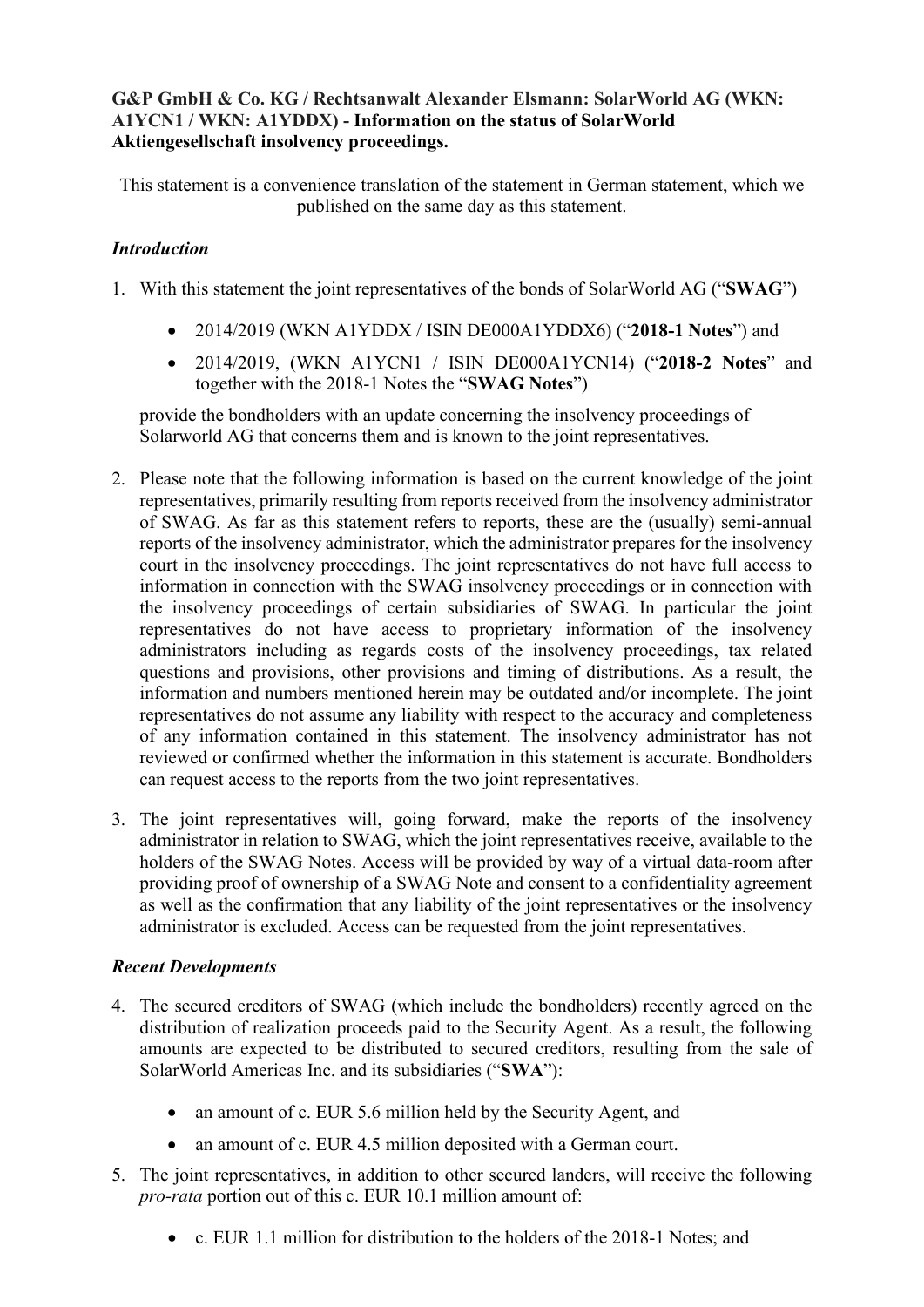# **G&P GmbH & Co. KG / Rechtsanwalt Alexander Elsmann: SolarWorld AG (WKN: A1YCN1 / WKN: A1YDDX) - Information on the status of SolarWorld Aktiengesellschaft insolvency proceedings.**

This statement is a convenience translation of the statement in German statement, which we published on the same day as this statement.

# *Introduction*

- 1. With this statement the joint representatives of the bonds of SolarWorld AG ("**SWAG**")
	- 2014/2019 (WKN A1YDDX / ISIN DE000A1YDDX6) ("**2018-1 Notes**") and
	- 2014/2019, (WKN A1YCN1 / ISIN DE000A1YCN14) ("**2018-2 Notes**" and together with the 2018-1 Notes the "**SWAG Notes**")

provide the bondholders with an update concerning the insolvency proceedings of Solarworld AG that concerns them and is known to the joint representatives.

- 2. Please note that the following information is based on the current knowledge of the joint representatives, primarily resulting from reports received from the insolvency administrator of SWAG. As far as this statement refers to reports, these are the (usually) semi-annual reports of the insolvency administrator, which the administrator prepares for the insolvency court in the insolvency proceedings. The joint representatives do not have full access to information in connection with the SWAG insolvency proceedings or in connection with the insolvency proceedings of certain subsidiaries of SWAG. In particular the joint representatives do not have access to proprietary information of the insolvency administrators including as regards costs of the insolvency proceedings, tax related questions and provisions, other provisions and timing of distributions. As a result, the information and numbers mentioned herein may be outdated and/or incomplete. The joint representatives do not assume any liability with respect to the accuracy and completeness of any information contained in this statement. The insolvency administrator has not reviewed or confirmed whether the information in this statement is accurate. Bondholders can request access to the reports from the two joint representatives.
- 3. The joint representatives will, going forward, make the reports of the insolvency administrator in relation to SWAG, which the joint representatives receive, available to the holders of the SWAG Notes. Access will be provided by way of a virtual data-room after providing proof of ownership of a SWAG Note and consent to a confidentiality agreement as well as the confirmation that any liability of the joint representatives or the insolvency administrator is excluded. Access can be requested from the joint representatives.

### *Recent Developments*

- 4. The secured creditors of SWAG (which include the bondholders) recently agreed on the distribution of realization proceeds paid to the Security Agent. As a result, the following amounts are expected to be distributed to secured creditors, resulting from the sale of SolarWorld Americas Inc. and its subsidiaries ("**SWA**"):
	- an amount of c. EUR 5.6 million held by the Security Agent, and
	- an amount of c. EUR 4.5 million deposited with a German court.
- 5. The joint representatives, in addition to other secured landers, will receive the following *pro-rata* portion out of this c. EUR 10.1 million amount of:
	- c. EUR 1.1 million for distribution to the holders of the 2018-1 Notes; and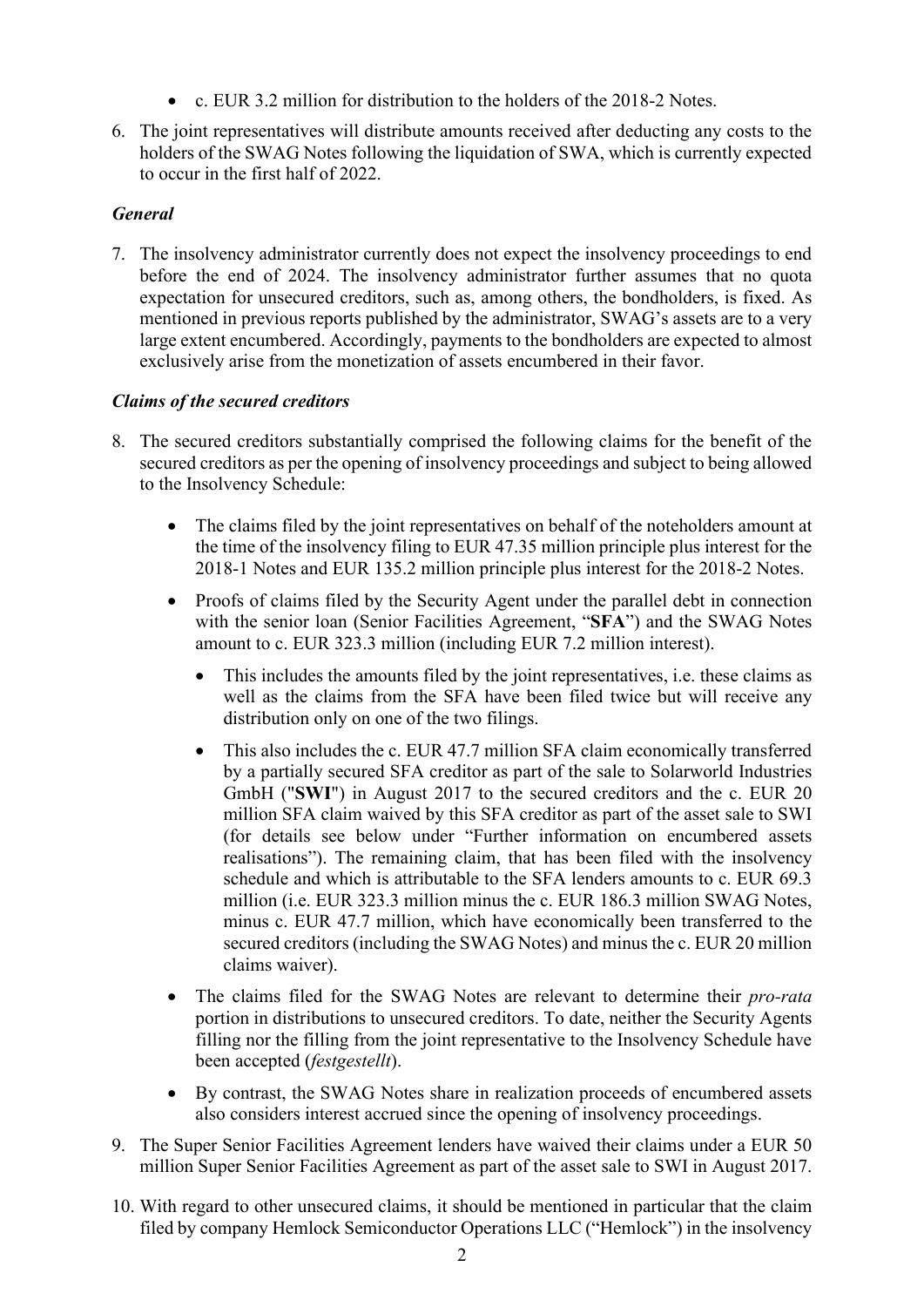- c. EUR 3.2 million for distribution to the holders of the 2018-2 Notes.
- 6. The joint representatives will distribute amounts received after deducting any costs to the holders of the SWAG Notes following the liquidation of SWA, which is currently expected to occur in the first half of 2022.

# *General*

7. The insolvency administrator currently does not expect the insolvency proceedings to end before the end of 2024. The insolvency administrator further assumes that no quota expectation for unsecured creditors, such as, among others, the bondholders, is fixed. As mentioned in previous reports published by the administrator, SWAG's assets are to a very large extent encumbered. Accordingly, payments to the bondholders are expected to almost exclusively arise from the monetization of assets encumbered in their favor.

# *Claims of the secured creditors*

- 8. The secured creditors substantially comprised the following claims for the benefit of the secured creditors as per the opening of insolvency proceedings and subject to being allowed to the Insolvency Schedule:
	- The claims filed by the joint representatives on behalf of the noteholders amount at the time of the insolvency filing to EUR 47.35 million principle plus interest for the 2018-1 Notes and EUR 135.2 million principle plus interest for the 2018-2 Notes.
	- Proofs of claims filed by the Security Agent under the parallel debt in connection with the senior loan (Senior Facilities Agreement, "**SFA**") and the SWAG Notes amount to c. EUR 323.3 million (including EUR 7.2 million interest).
		- This includes the amounts filed by the joint representatives, i.e. these claims as well as the claims from the SFA have been filed twice but will receive any distribution only on one of the two filings.
		- This also includes the c. EUR 47.7 million SFA claim economically transferred by a partially secured SFA creditor as part of the sale to Solarworld Industries GmbH ("**SWI**") in August 2017 to the secured creditors and the c. EUR 20 million SFA claim waived by this SFA creditor as part of the asset sale to SWI (for details see below under "Further information on encumbered assets realisations"). The remaining claim, that has been filed with the insolvency schedule and which is attributable to the SFA lenders amounts to c. EUR 69.3 million (i.e. EUR 323.3 million minus the c. EUR 186.3 million SWAG Notes, minus c. EUR 47.7 million, which have economically been transferred to the secured creditors (including the SWAG Notes) and minus the c. EUR 20 million claims waiver).
	- The claims filed for the SWAG Notes are relevant to determine their *pro-rata* portion in distributions to unsecured creditors. To date, neither the Security Agents filling nor the filling from the joint representative to the Insolvency Schedule have been accepted (*festgestellt*).
	- By contrast, the SWAG Notes share in realization proceeds of encumbered assets also considers interest accrued since the opening of insolvency proceedings.
- 9. The Super Senior Facilities Agreement lenders have waived their claims under a EUR 50 million Super Senior Facilities Agreement as part of the asset sale to SWI in August 2017.
- 10. With regard to other unsecured claims, it should be mentioned in particular that the claim filed by company Hemlock Semiconductor Operations LLC ("Hemlock") in the insolvency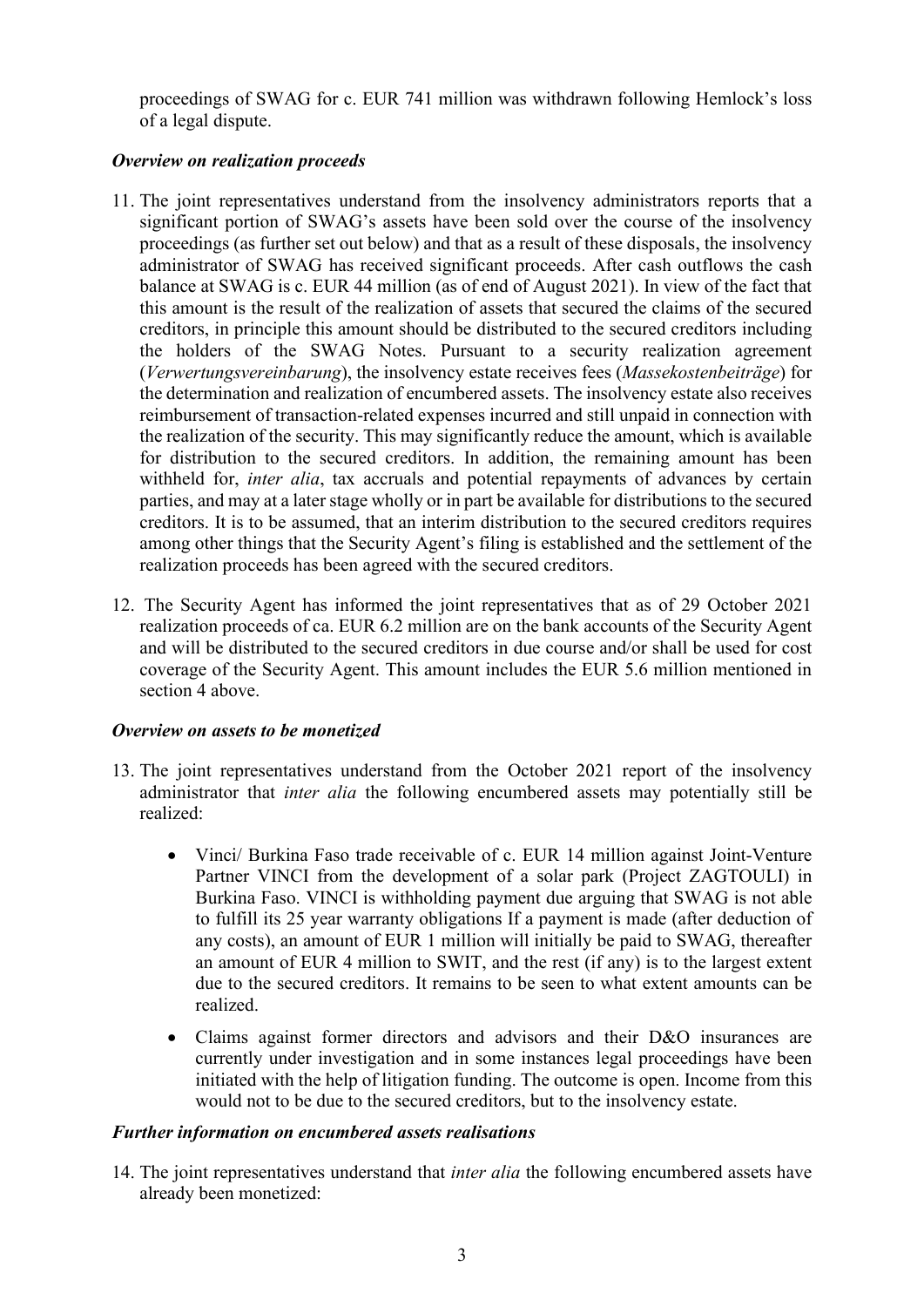proceedings of SWAG for c. EUR 741 million was withdrawn following Hemlock's loss of a legal dispute.

### *Overview on realization proceeds*

- 11. The joint representatives understand from the insolvency administrators reports that a significant portion of SWAG's assets have been sold over the course of the insolvency proceedings (as further set out below) and that as a result of these disposals, the insolvency administrator of SWAG has received significant proceeds. After cash outflows the cash balance at SWAG is c. EUR 44 million (as of end of August 2021). In view of the fact that this amount is the result of the realization of assets that secured the claims of the secured creditors, in principle this amount should be distributed to the secured creditors including the holders of the SWAG Notes. Pursuant to a security realization agreement (*Verwertungsvereinbarung*), the insolvency estate receives fees (*Massekostenbeiträge*) for the determination and realization of encumbered assets. The insolvency estate also receives reimbursement of transaction-related expenses incurred and still unpaid in connection with the realization of the security. This may significantly reduce the amount, which is available for distribution to the secured creditors. In addition, the remaining amount has been withheld for, *inter alia*, tax accruals and potential repayments of advances by certain parties, and may at a later stage wholly or in part be available for distributions to the secured creditors. It is to be assumed, that an interim distribution to the secured creditors requires among other things that the Security Agent's filing is established and the settlement of the realization proceeds has been agreed with the secured creditors.
- 12. The Security Agent has informed the joint representatives that as of 29 October 2021 realization proceeds of ca. EUR 6.2 million are on the bank accounts of the Security Agent and will be distributed to the secured creditors in due course and/or shall be used for cost coverage of the Security Agent. This amount includes the EUR 5.6 million mentioned in section 4 above.

#### *Overview on assets to be monetized*

- 13. The joint representatives understand from the October 2021 report of the insolvency administrator that *inter alia* the following encumbered assets may potentially still be realized:
	- Vinci/ Burkina Faso trade receivable of c. EUR 14 million against Joint-Venture Partner VINCI from the development of a solar park (Project ZAGTOULI) in Burkina Faso. VINCI is withholding payment due arguing that SWAG is not able to fulfill its 25 year warranty obligations If a payment is made (after deduction of any costs), an amount of EUR 1 million will initially be paid to SWAG, thereafter an amount of EUR 4 million to SWIT, and the rest (if any) is to the largest extent due to the secured creditors. It remains to be seen to what extent amounts can be realized.
	- Claims against former directors and advisors and their D&O insurances are currently under investigation and in some instances legal proceedings have been initiated with the help of litigation funding. The outcome is open. Income from this would not to be due to the secured creditors, but to the insolvency estate.

### *Further information on encumbered assets realisations*

14. The joint representatives understand that *inter alia* the following encumbered assets have already been monetized: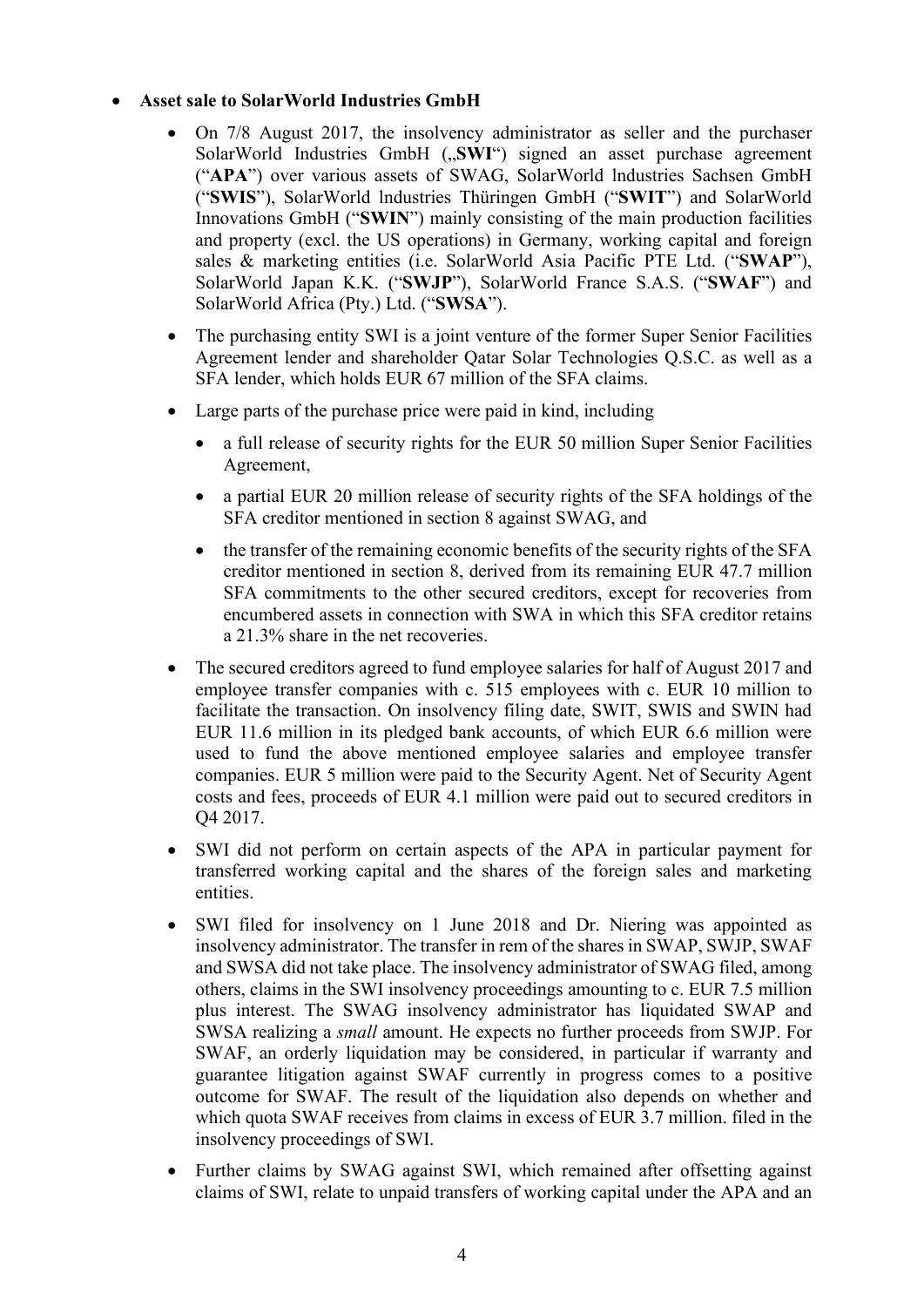### • **Asset sale to SolarWorld Industries GmbH**

- On 7/8 August 2017, the insolvency administrator as seller and the purchaser SolarWorld Industries GmbH ("SWI") signed an asset purchase agreement ("**APA**") over various assets of SWAG, SolarWorld lndustries Sachsen GmbH ("**SWIS**"), SolarWorld lndustries Thüringen GmbH ("**SWIT**") and SolarWorld Innovations GmbH ("**SWIN**") mainly consisting of the main production facilities and property (excl. the US operations) in Germany, working capital and foreign sales & marketing entities (i.e. SolarWorld Asia Pacific PTE Ltd. ("**SWAP**"), SolarWorld Japan K.K. ("**SWJP**"), SolarWorld France S.A.S. ("**SWAF**") and SolarWorld Africa (Pty.) Ltd. ("**SWSA**").
- The purchasing entity SWI is a joint venture of the former Super Senior Facilities Agreement lender and shareholder Qatar Solar Technologies Q.S.C. as well as a SFA lender, which holds EUR 67 million of the SFA claims.
- Large parts of the purchase price were paid in kind, including
	- a full release of security rights for the EUR 50 million Super Senior Facilities Agreement,
	- a partial EUR 20 million release of security rights of the SFA holdings of the SFA creditor mentioned in section 8 against SWAG, and
	- the transfer of the remaining economic benefits of the security rights of the SFA creditor mentioned in section 8, derived from its remaining EUR 47.7 million SFA commitments to the other secured creditors, except for recoveries from encumbered assets in connection with SWA in which this SFA creditor retains a 21.3% share in the net recoveries.
- The secured creditors agreed to fund employee salaries for half of August 2017 and employee transfer companies with c. 515 employees with c. EUR 10 million to facilitate the transaction. On insolvency filing date, SWIT, SWIS and SWIN had EUR 11.6 million in its pledged bank accounts, of which EUR 6.6 million were used to fund the above mentioned employee salaries and employee transfer companies. EUR 5 million were paid to the Security Agent. Net of Security Agent costs and fees, proceeds of EUR 4.1 million were paid out to secured creditors in Q4 2017.
- SWI did not perform on certain aspects of the APA in particular payment for transferred working capital and the shares of the foreign sales and marketing entities.
- SWI filed for insolvency on 1 June 2018 and Dr. Niering was appointed as insolvency administrator. The transfer in rem of the shares in SWAP, SWJP, SWAF and SWSA did not take place. The insolvency administrator of SWAG filed, among others, claims in the SWI insolvency proceedings amounting to c. EUR 7.5 million plus interest. The SWAG insolvency administrator has liquidated SWAP and SWSA realizing a *small* amount. He expects no further proceeds from SWJP. For SWAF, an orderly liquidation may be considered, in particular if warranty and guarantee litigation against SWAF currently in progress comes to a positive outcome for SWAF. The result of the liquidation also depends on whether and which quota SWAF receives from claims in excess of EUR 3.7 million. filed in the insolvency proceedings of SWI.
- Further claims by SWAG against SWI, which remained after offsetting against claims of SWI, relate to unpaid transfers of working capital under the APA and an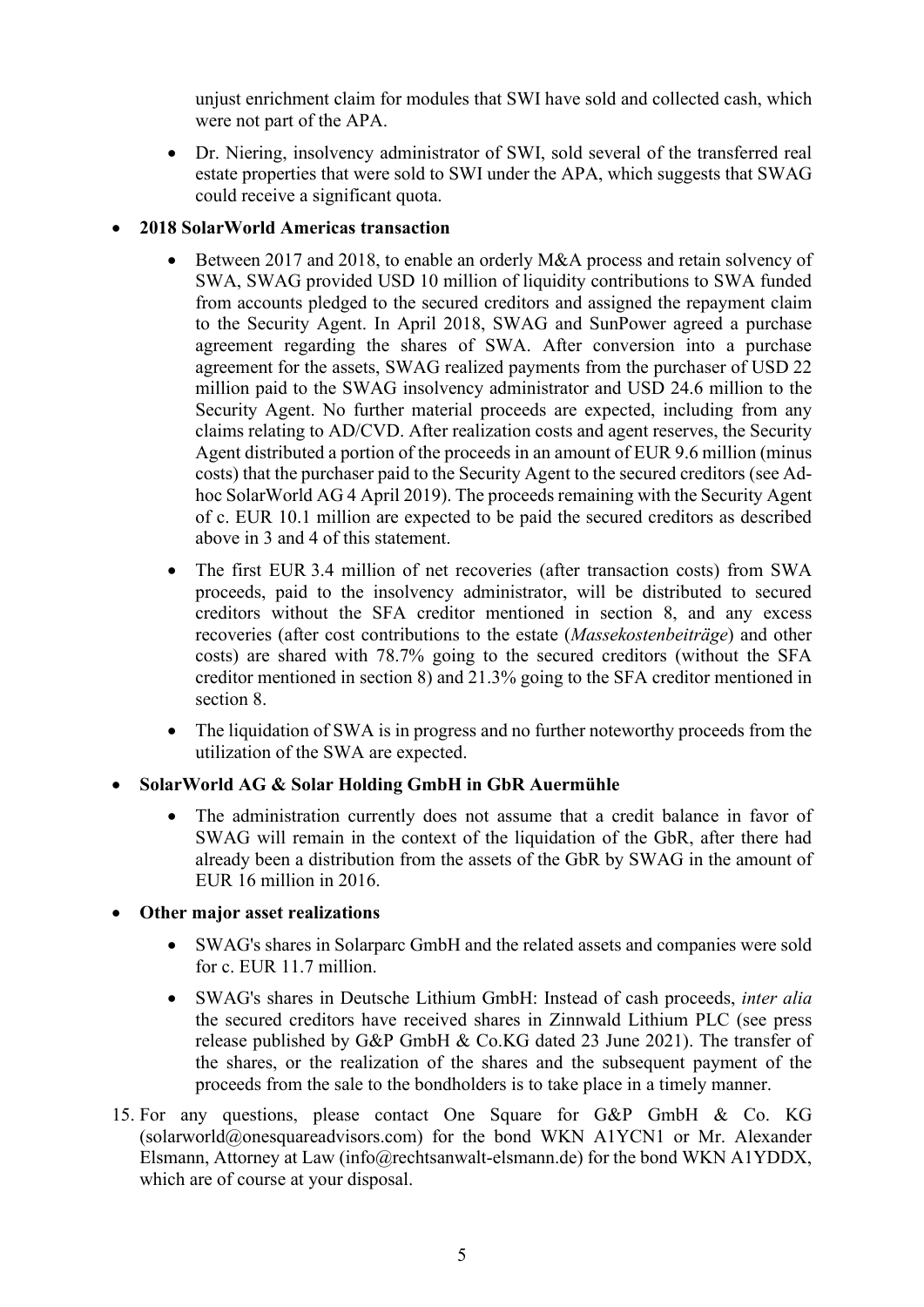unjust enrichment claim for modules that SWI have sold and collected cash, which were not part of the APA.

• Dr. Niering, insolvency administrator of SWI, sold several of the transferred real estate properties that were sold to SWI under the APA, which suggests that SWAG could receive a significant quota.

# • **2018 SolarWorld Americas transaction**

- Between 2017 and 2018, to enable an orderly M&A process and retain solvency of SWA, SWAG provided USD 10 million of liquidity contributions to SWA funded from accounts pledged to the secured creditors and assigned the repayment claim to the Security Agent. In April 2018, SWAG and SunPower agreed a purchase agreement regarding the shares of SWA. After conversion into a purchase agreement for the assets, SWAG realized payments from the purchaser of USD 22 million paid to the SWAG insolvency administrator and USD 24.6 million to the Security Agent. No further material proceeds are expected, including from any claims relating to AD/CVD. After realization costs and agent reserves, the Security Agent distributed a portion of the proceeds in an amount of EUR 9.6 million (minus costs) that the purchaser paid to the Security Agent to the secured creditors (see Adhoc SolarWorld AG 4 April 2019). The proceeds remaining with the Security Agent of c. EUR 10.1 million are expected to be paid the secured creditors as described above in 3 and 4 of this statement.
- The first EUR 3.4 million of net recoveries (after transaction costs) from SWA proceeds, paid to the insolvency administrator, will be distributed to secured creditors without the SFA creditor mentioned in section 8, and any excess recoveries (after cost contributions to the estate (*Massekostenbeiträge*) and other costs) are shared with 78.7% going to the secured creditors (without the SFA creditor mentioned in section 8) and 21.3% going to the SFA creditor mentioned in section 8.
- The liquidation of SWA is in progress and no further noteworthy proceeds from the utilization of the SWA are expected.

# • **SolarWorld AG & Solar Holding GmbH in GbR Auermühle**

- The administration currently does not assume that a credit balance in favor of SWAG will remain in the context of the liquidation of the GbR, after there had already been a distribution from the assets of the GbR by SWAG in the amount of EUR 16 million in 2016.
- **Other major asset realizations**
	- SWAG's shares in Solarparc GmbH and the related assets and companies were sold for c. EUR 11.7 million.
	- SWAG's shares in Deutsche Lithium GmbH: Instead of cash proceeds, *inter alia*  the secured creditors have received shares in Zinnwald Lithium PLC (see press release published by G&P GmbH & Co.KG dated 23 June 2021). The transfer of the shares, or the realization of the shares and the subsequent payment of the proceeds from the sale to the bondholders is to take place in a timely manner.
- 15. For any questions, please contact One Square for G&P GmbH & Co. KG (solarworld@onesquareadvisors.com) for the bond WKN A1YCN1 or Mr. Alexander Elsmann, Attorney at Law (info@rechtsanwalt-elsmann.de) for the bond WKN A1YDDX, which are of course at your disposal.